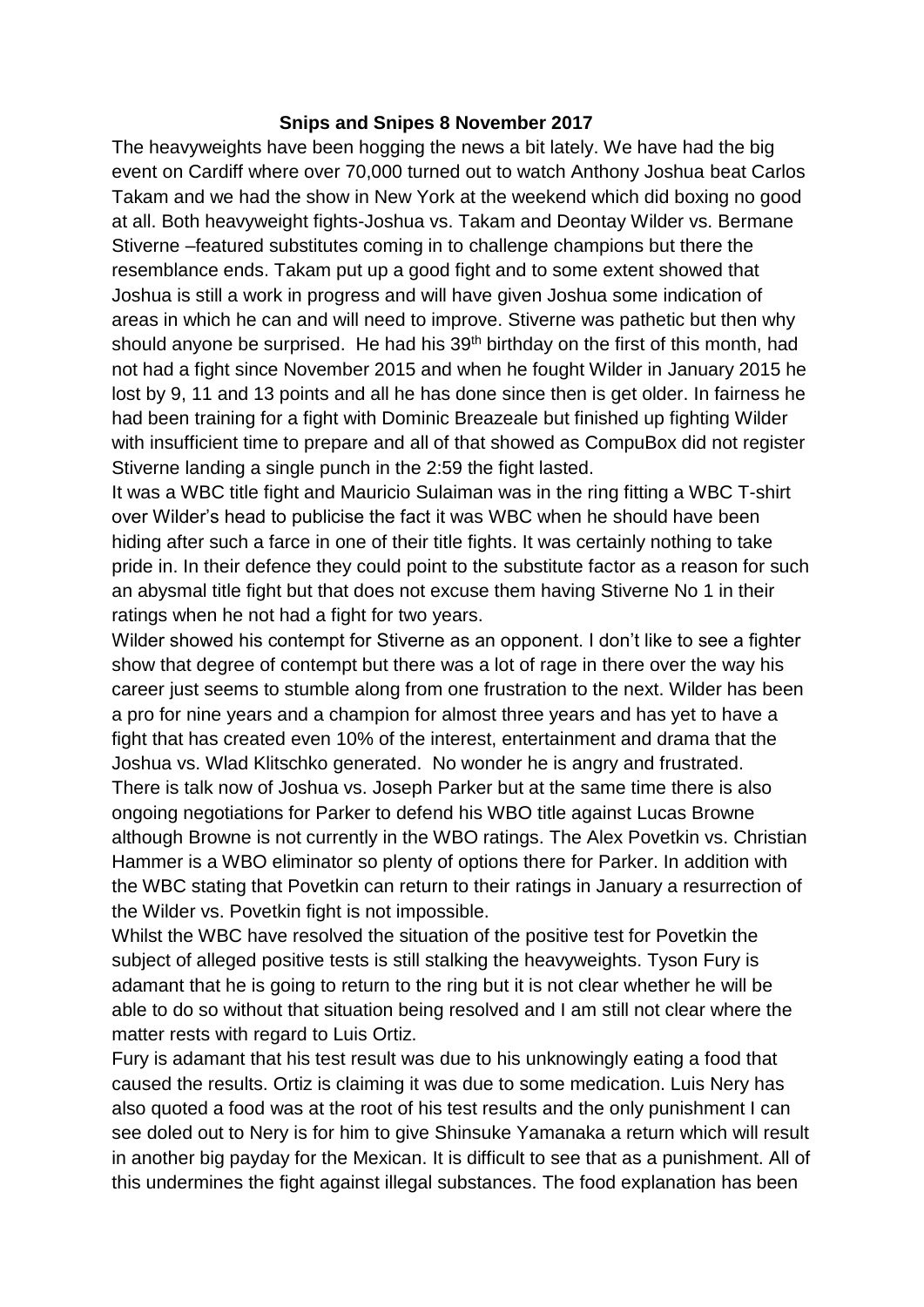## **Snips and Snipes 8 November 2017**

The heavyweights have been hogging the news a bit lately. We have had the big event on Cardiff where over 70,000 turned out to watch Anthony Joshua beat Carlos Takam and we had the show in New York at the weekend which did boxing no good at all. Both heavyweight fights-Joshua vs. Takam and Deontay Wilder vs. Bermane Stiverne –featured substitutes coming in to challenge champions but there the resemblance ends. Takam put up a good fight and to some extent showed that Joshua is still a work in progress and will have given Joshua some indication of areas in which he can and will need to improve. Stiverne was pathetic but then why should anyone be surprised. He had his  $39<sup>th</sup>$  birthday on the first of this month, had not had a fight since November 2015 and when he fought Wilder in January 2015 he lost by 9, 11 and 13 points and all he has done since then is get older. In fairness he had been training for a fight with Dominic Breazeale but finished up fighting Wilder with insufficient time to prepare and all of that showed as CompuBox did not register Stiverne landing a single punch in the 2:59 the fight lasted.

It was a WBC title fight and Mauricio Sulaiman was in the ring fitting a WBC T-shirt over Wilder's head to publicise the fact it was WBC when he should have been hiding after such a farce in one of their title fights. It was certainly nothing to take pride in. In their defence they could point to the substitute factor as a reason for such an abysmal title fight but that does not excuse them having Stiverne No 1 in their ratings when he not had a fight for two years.

Wilder showed his contempt for Stiverne as an opponent. I don't like to see a fighter show that degree of contempt but there was a lot of rage in there over the way his career just seems to stumble along from one frustration to the next. Wilder has been a pro for nine years and a champion for almost three years and has yet to have a fight that has created even 10% of the interest, entertainment and drama that the Joshua vs. Wlad Klitschko generated. No wonder he is angry and frustrated. There is talk now of Joshua vs. Joseph Parker but at the same time there is also ongoing negotiations for Parker to defend his WBO title against Lucas Browne although Browne is not currently in the WBO ratings. The Alex Povetkin vs. Christian Hammer is a WBO eliminator so plenty of options there for Parker. In addition with the WBC stating that Povetkin can return to their ratings in January a resurrection of the Wilder vs. Povetkin fight is not impossible.

Whilst the WBC have resolved the situation of the positive test for Povetkin the subject of alleged positive tests is still stalking the heavyweights. Tyson Fury is adamant that he is going to return to the ring but it is not clear whether he will be able to do so without that situation being resolved and I am still not clear where the matter rests with regard to Luis Ortiz.

Fury is adamant that his test result was due to his unknowingly eating a food that caused the results. Ortiz is claiming it was due to some medication. Luis Nery has also quoted a food was at the root of his test results and the only punishment I can see doled out to Nery is for him to give Shinsuke Yamanaka a return which will result in another big payday for the Mexican. It is difficult to see that as a punishment. All of this undermines the fight against illegal substances. The food explanation has been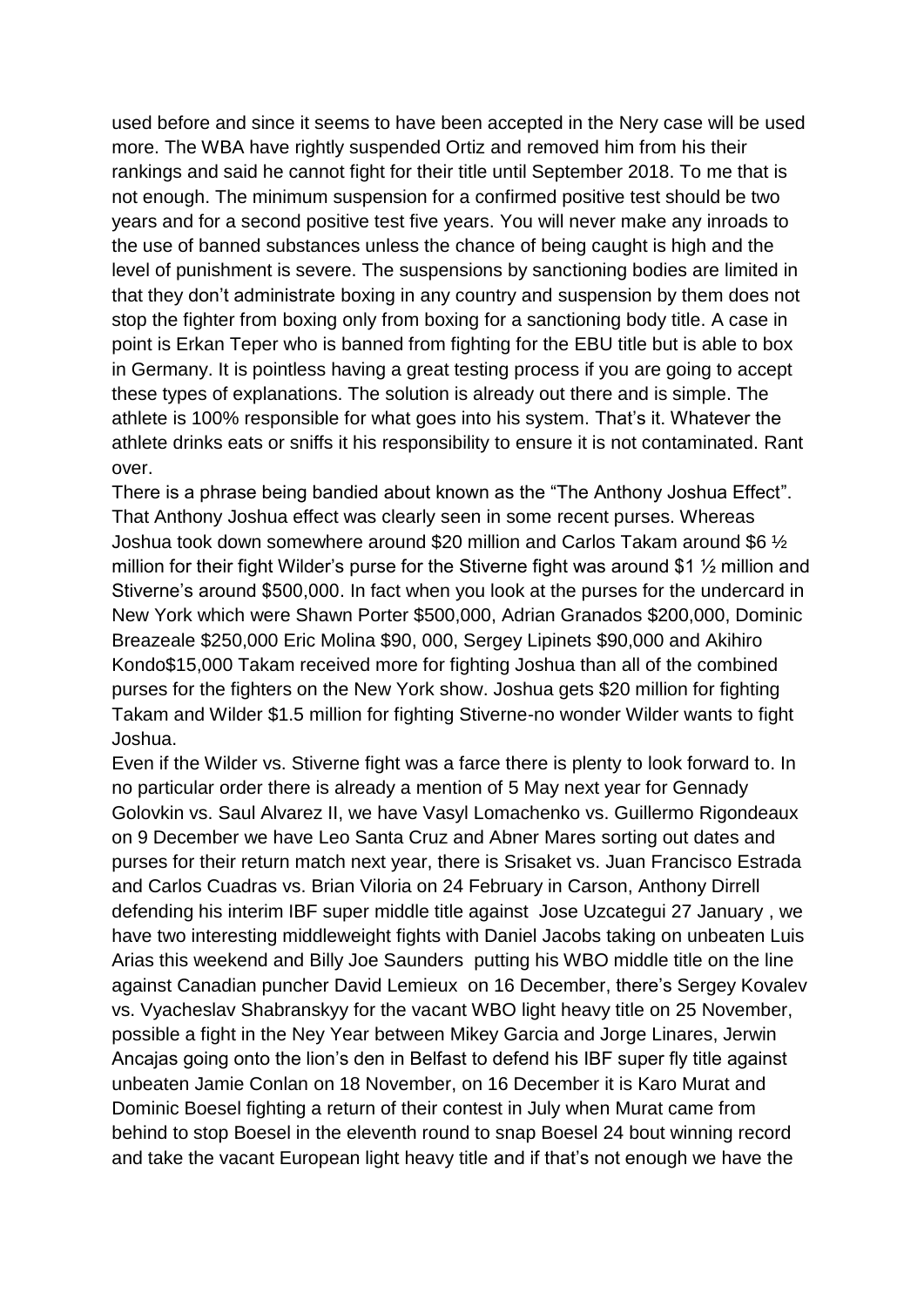used before and since it seems to have been accepted in the Nery case will be used more. The WBA have rightly suspended Ortiz and removed him from his their rankings and said he cannot fight for their title until September 2018. To me that is not enough. The minimum suspension for a confirmed positive test should be two years and for a second positive test five years. You will never make any inroads to the use of banned substances unless the chance of being caught is high and the level of punishment is severe. The suspensions by sanctioning bodies are limited in that they don't administrate boxing in any country and suspension by them does not stop the fighter from boxing only from boxing for a sanctioning body title. A case in point is Erkan Teper who is banned from fighting for the EBU title but is able to box in Germany. It is pointless having a great testing process if you are going to accept these types of explanations. The solution is already out there and is simple. The athlete is 100% responsible for what goes into his system. That's it. Whatever the athlete drinks eats or sniffs it his responsibility to ensure it is not contaminated. Rant over.

There is a phrase being bandied about known as the "The Anthony Joshua Effect". That Anthony Joshua effect was clearly seen in some recent purses. Whereas Joshua took down somewhere around \$20 million and Carlos Takam around \$6 ½ million for their fight Wilder's purse for the Stiverne fight was around \$1 ½ million and Stiverne's around \$500,000. In fact when you look at the purses for the undercard in New York which were Shawn Porter \$500,000, Adrian Granados \$200,000, Dominic Breazeale \$250,000 Eric Molina \$90, 000, Sergey Lipinets \$90,000 and Akihiro Kondo\$15,000 Takam received more for fighting Joshua than all of the combined purses for the fighters on the New York show. Joshua gets \$20 million for fighting Takam and Wilder \$1.5 million for fighting Stiverne-no wonder Wilder wants to fight Joshua.

Even if the Wilder vs. Stiverne fight was a farce there is plenty to look forward to. In no particular order there is already a mention of 5 May next year for Gennady Golovkin vs. Saul Alvarez II, we have Vasyl Lomachenko vs. Guillermo Rigondeaux on 9 December we have Leo Santa Cruz and Abner Mares sorting out dates and purses for their return match next year, there is Srisaket vs. Juan Francisco Estrada and Carlos Cuadras vs. Brian Viloria on 24 February in Carson, Anthony Dirrell defending his interim IBF super middle title against Jose Uzcategui 27 January , we have two interesting middleweight fights with Daniel Jacobs taking on unbeaten Luis Arias this weekend and Billy Joe Saunders putting his WBO middle title on the line against Canadian puncher David Lemieux on 16 December, there's Sergey Kovalev vs. Vyacheslav Shabranskyy for the vacant WBO light heavy title on 25 November, possible a fight in the Ney Year between Mikey Garcia and Jorge Linares, Jerwin Ancajas going onto the lion's den in Belfast to defend his IBF super fly title against unbeaten Jamie Conlan on 18 November, on 16 December it is Karo Murat and Dominic Boesel fighting a return of their contest in July when Murat came from behind to stop Boesel in the eleventh round to snap Boesel 24 bout winning record and take the vacant European light heavy title and if that's not enough we have the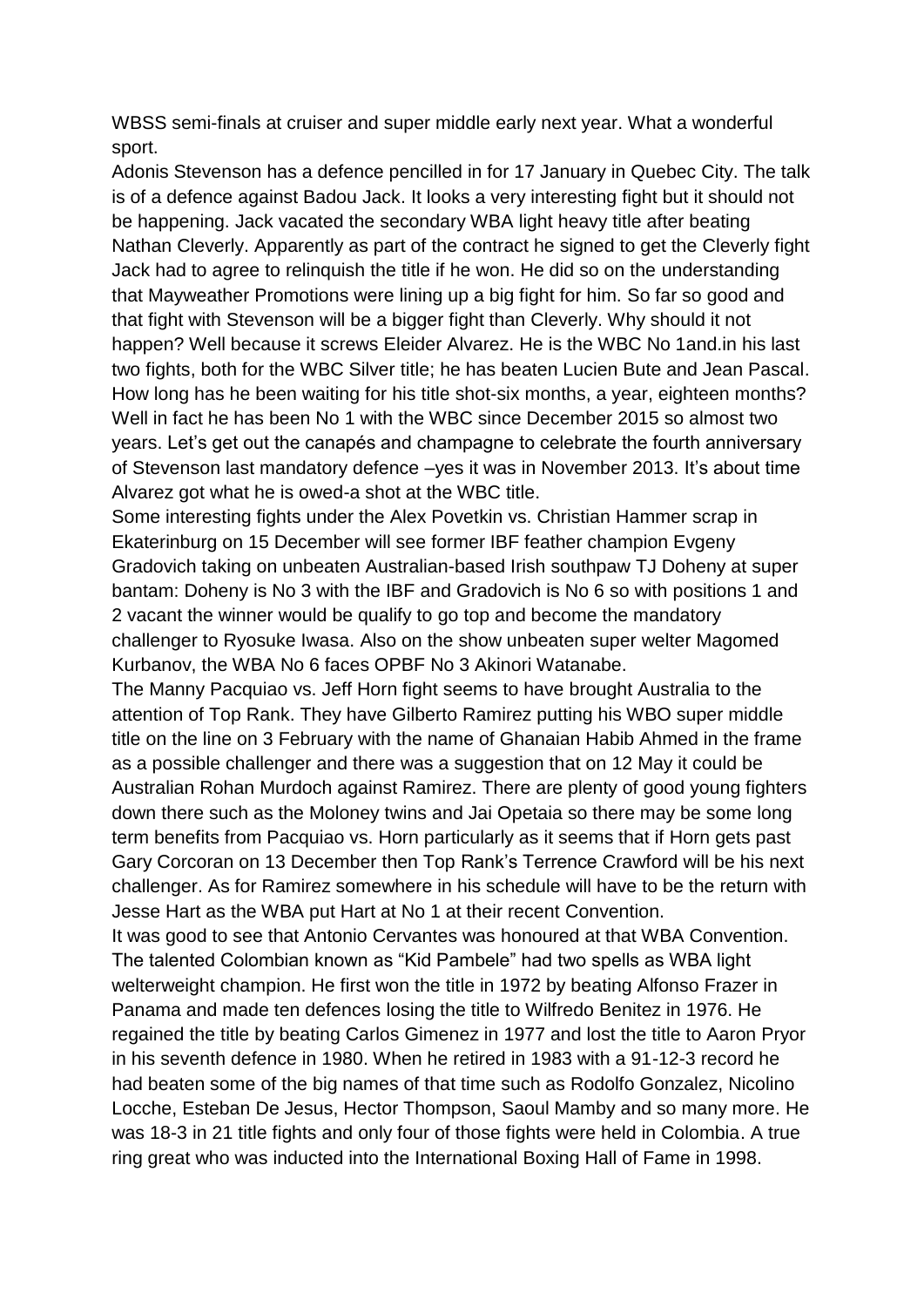WBSS semi-finals at cruiser and super middle early next year. What a wonderful sport.

Adonis Stevenson has a defence pencilled in for 17 January in Quebec City. The talk is of a defence against Badou Jack. It looks a very interesting fight but it should not be happening. Jack vacated the secondary WBA light heavy title after beating Nathan Cleverly. Apparently as part of the contract he signed to get the Cleverly fight Jack had to agree to relinquish the title if he won. He did so on the understanding that Mayweather Promotions were lining up a big fight for him. So far so good and that fight with Stevenson will be a bigger fight than Cleverly. Why should it not happen? Well because it screws Eleider Alvarez. He is the WBC No 1and.in his last two fights, both for the WBC Silver title; he has beaten Lucien Bute and Jean Pascal. How long has he been waiting for his title shot-six months, a year, eighteen months? Well in fact he has been No 1 with the WBC since December 2015 so almost two years. Let's get out the canapés and champagne to celebrate the fourth anniversary of Stevenson last mandatory defence –yes it was in November 2013. It's about time Alvarez got what he is owed-a shot at the WBC title.

Some interesting fights under the Alex Povetkin vs. Christian Hammer scrap in Ekaterinburg on 15 December will see former IBF feather champion Evgeny Gradovich taking on unbeaten Australian-based Irish southpaw TJ Doheny at super bantam: Doheny is No 3 with the IBF and Gradovich is No 6 so with positions 1 and 2 vacant the winner would be qualify to go top and become the mandatory challenger to Ryosuke Iwasa. Also on the show unbeaten super welter Magomed Kurbanov, the WBA No 6 faces OPBF No 3 Akinori Watanabe.

The Manny Pacquiao vs. Jeff Horn fight seems to have brought Australia to the attention of Top Rank. They have Gilberto Ramirez putting his WBO super middle title on the line on 3 February with the name of Ghanaian Habib Ahmed in the frame as a possible challenger and there was a suggestion that on 12 May it could be Australian Rohan Murdoch against Ramirez. There are plenty of good young fighters down there such as the Moloney twins and Jai Opetaia so there may be some long term benefits from Pacquiao vs. Horn particularly as it seems that if Horn gets past Gary Corcoran on 13 December then Top Rank's Terrence Crawford will be his next challenger. As for Ramirez somewhere in his schedule will have to be the return with Jesse Hart as the WBA put Hart at No 1 at their recent Convention.

It was good to see that Antonio Cervantes was honoured at that WBA Convention. The talented Colombian known as "Kid Pambele" had two spells as WBA light welterweight champion. He first won the title in 1972 by beating Alfonso Frazer in Panama and made ten defences losing the title to Wilfredo Benitez in 1976. He regained the title by beating Carlos Gimenez in 1977 and lost the title to Aaron Pryor in his seventh defence in 1980. When he retired in 1983 with a 91-12-3 record he had beaten some of the big names of that time such as Rodolfo Gonzalez, Nicolino Locche, Esteban De Jesus, Hector Thompson, Saoul Mamby and so many more. He was 18-3 in 21 title fights and only four of those fights were held in Colombia. A true ring great who was inducted into the International Boxing Hall of Fame in 1998.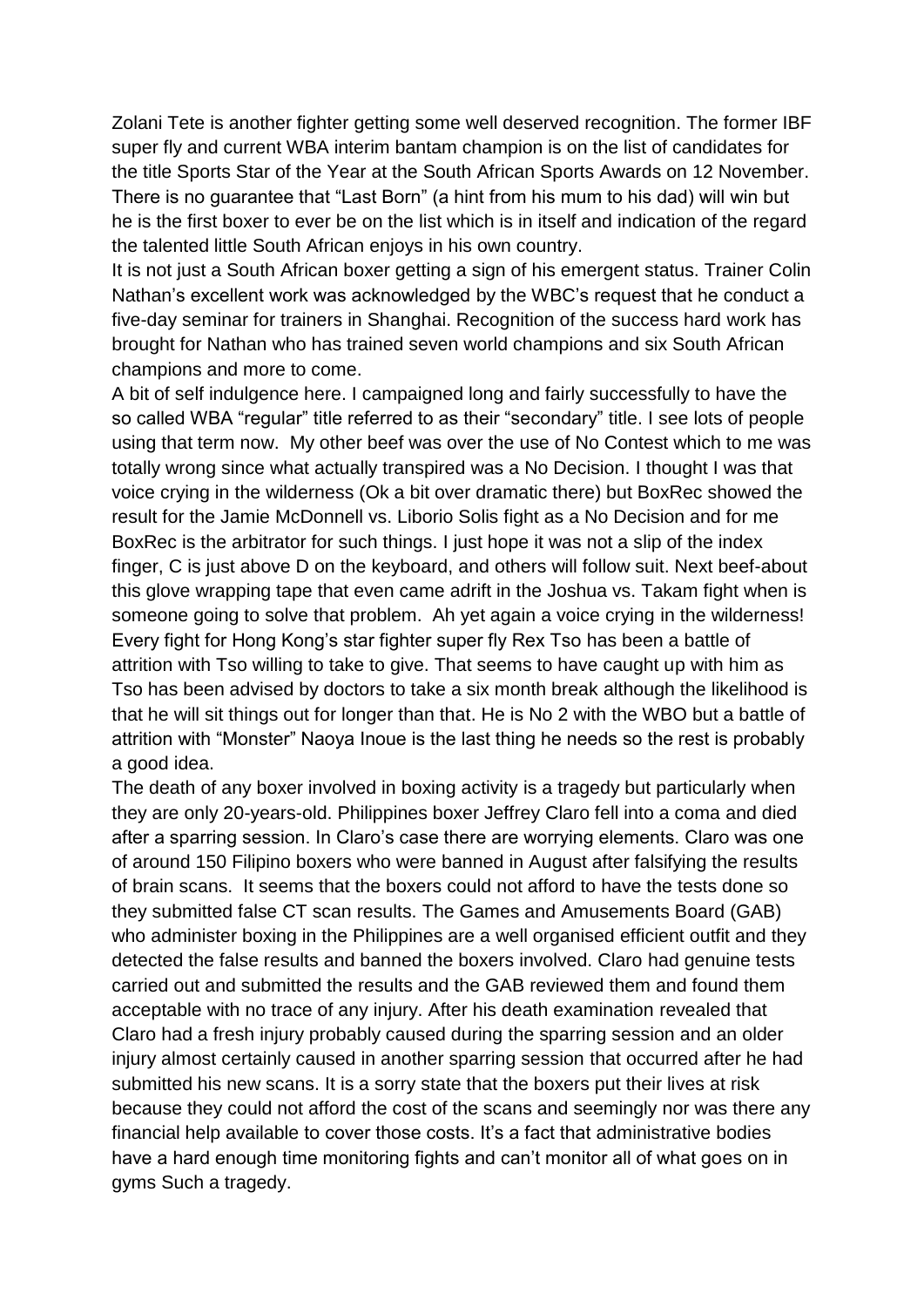Zolani Tete is another fighter getting some well deserved recognition. The former IBF super fly and current WBA interim bantam champion is on the list of candidates for the title Sports Star of the Year at the South African Sports Awards on 12 November. There is no guarantee that "Last Born" (a hint from his mum to his dad) will win but he is the first boxer to ever be on the list which is in itself and indication of the regard the talented little South African enjoys in his own country.

It is not just a South African boxer getting a sign of his emergent status. Trainer Colin Nathan's excellent work was acknowledged by the WBC's request that he conduct a five-day seminar for trainers in Shanghai. Recognition of the success hard work has brought for Nathan who has trained seven world champions and six South African champions and more to come.

A bit of self indulgence here. I campaigned long and fairly successfully to have the so called WBA "regular" title referred to as their "secondary" title. I see lots of people using that term now. My other beef was over the use of No Contest which to me was totally wrong since what actually transpired was a No Decision. I thought I was that voice crying in the wilderness (Ok a bit over dramatic there) but BoxRec showed the result for the Jamie McDonnell vs. Liborio Solis fight as a No Decision and for me BoxRec is the arbitrator for such things. I just hope it was not a slip of the index finger, C is just above D on the keyboard, and others will follow suit. Next beef-about this glove wrapping tape that even came adrift in the Joshua vs. Takam fight when is someone going to solve that problem. Ah yet again a voice crying in the wilderness! Every fight for Hong Kong's star fighter super fly Rex Tso has been a battle of attrition with Tso willing to take to give. That seems to have caught up with him as Tso has been advised by doctors to take a six month break although the likelihood is that he will sit things out for longer than that. He is No 2 with the WBO but a battle of attrition with "Monster" Naoya Inoue is the last thing he needs so the rest is probably a good idea.

The death of any boxer involved in boxing activity is a tragedy but particularly when they are only 20-years-old. Philippines boxer Jeffrey Claro fell into a coma and died after a sparring session. In Claro's case there are worrying elements. Claro was one of around 150 Filipino boxers who were banned in August after falsifying the results of brain scans. It seems that the boxers could not afford to have the tests done so they submitted false CT scan results. The Games and Amusements Board (GAB) who administer boxing in the Philippines are a well organised efficient outfit and they detected the false results and banned the boxers involved. Claro had genuine tests carried out and submitted the results and the GAB reviewed them and found them acceptable with no trace of any injury. After his death examination revealed that Claro had a fresh injury probably caused during the sparring session and an older injury almost certainly caused in another sparring session that occurred after he had submitted his new scans. It is a sorry state that the boxers put their lives at risk because they could not afford the cost of the scans and seemingly nor was there any financial help available to cover those costs. It's a fact that administrative bodies have a hard enough time monitoring fights and can't monitor all of what goes on in gyms Such a tragedy.